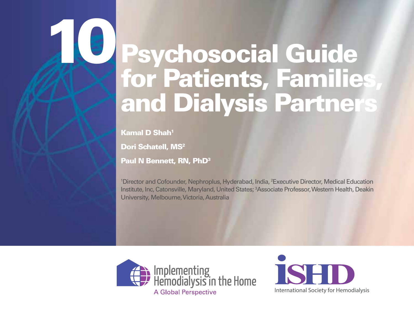# Psychosocial Guide for Patients, Families, and Dialysis Partners

Kamal D Shah1

10

Dori Schatell, MS<sup>2</sup>

Paul N Bennett, RN, PhD<sup>3</sup>

<sup>1</sup>Director and Cofounder, Nephroplus, Hyderabad, India, <sup>2</sup>Executive Director, Medical Education Institute, Inc, Catonsville, Maryland, United States; 3 Associate Professor, Western Health, Deakin University, Melbourne, Victoria, Australia



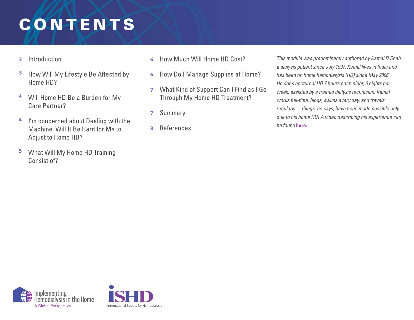## PSYCHOSOCIAL GUIDE FOR PATIENTS, AND THE PATIENTS, AND THE PATIENTS, AND THE PATIENTS, AND THE PATIENTS, AND T CONTENTS **CONTENTS**

- Introduction **3**
- **3** How Will My Lifestyle Be Affected by Home HD?
- **4** Will Home HD Be a Burden for My **Care Partner?**
- **4** I'm concerned about Dealing with the Machine, Will It Be Hard for Me to **Adjust to Home HD?**
- **5** What Will My Home HD Training Consist of?
- How Much Will Home HD Cost? **6**
- **6** How Do I Manage Supplies at Home?
- **7** What Kind of Support Can I Find as I Go Through My Home HD Treatment?
- Summary **7**
- References **8**

*This module was predominantly authored by Kamal D Shah, a dialysis patient since July 1997. Kamal lives in India and has been on home hemodialysis (HD) since May 2006. He does nocturnal HD 7 hours each night, 6 nights per week, assisted by a trained dialysis technician. Kamal works full-time, blogs, swims every day, and travels regularly— things, he says, have been made possible only due to his home HD! A video describing his experience can be found* **here.**



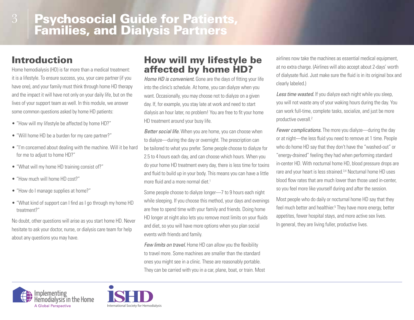# **Psychosocial Guide for Patients, Families, and Dialysis Partners**

## Introduction

Home hemodialysis (HD) is far more than a medical treatment: it is a lifestyle. To ensure success, you, your care partner (if you have one), and your family must think through home HD therapy and the impact it will have not only on your daily life, but on the lives of your support team as well. In this module, we answer some common questions asked by home HD patients:

- "How will my lifestyle be affected by home HD?"
- "Will home HD be a burden for my care partner?"
- "I'm concerned about dealing with the machine. Will it be hard for me to adjust to home HD?"
- "What will my home HD training consist of?"
- "How much will home HD cost?"
- "How do I manage supplies at home?"
- "What kind of support can I find as I go through my home HD treatment?"

No doubt, other questions will arise as you start home HD. Never hesitate to ask your doctor, nurse, or dialysis care team for help about any questions you may have.

#### How will my lifestyle be affected by home HD?

*Home HD is convenient.* Gone are the days of fitting your life into the clinic's schedule. At home, you can dialyze when you want. Occasionally, you may choose not to dialyze on a given day. If, for example, you stay late at work and need to start dialysis an hour later, no problem! You are free to fit your home HD treatment around your busy life.

*Better social life.* When you are home, you can choose when to dialyze—during the day or overnight. The prescription can be tailored to what you prefer. Some people choose to dialyze for 2.5 to 4 hours each day, and can choose which hours. When you do your home HD treatment every day, there is less time for toxins and fluid to build up in your body. This means you can have a little more fluid and a more normal diet.<sup>1</sup>

Some people choose to dialyze longer—7 to 9 hours each night while sleeping. If you choose this method, your days and evenings are free to spend time with your family and friends. Doing home HD longer at night also lets you remove most limits on your fluids and diet, so you will have more options when you plan social events with friends and family.

*Few limits on travel.* Home HD can allow you the flexibility to travel more. Some machines are smaller than the standard ones you might see in a clinic. These are reasonably portable. They can be carried with you in a car, plane, boat, or train. Most

airlines now take the machines as essential medical equipment, at no extra charge. (Airlines will also accept about 2-days' worth of dialysate fluid. Just make sure the fluid is in its original box and clearly labeled.)

*Less time wasted.* If you dialyze each night while you sleep, you will not waste any of your waking hours during the day. You can work full-time, complete tasks, socialize, and just be more productive overall.2

*Fewer complications.* The more you dialyze—during the day or at night—the less fluid you need to remove at 1 time. People who do home HD say that they don't have the "washed-out" or "energy-drained" feeling they had when performing standard in-center HD. With nocturnal home HD, blood pressure drops are rare and your heart is less strained.3,4 Nocturnal home HD uses blood flow rates that are much lower than those used in-center, so you feel more like yourself during and after the session.

Most people who do daily or nocturnal home HD say that they feel much better and healthier.<sup>5</sup> They have more energy, better appetites, fewer hospital stays, and more active sex lives. In general, they are living fuller, productive lives.



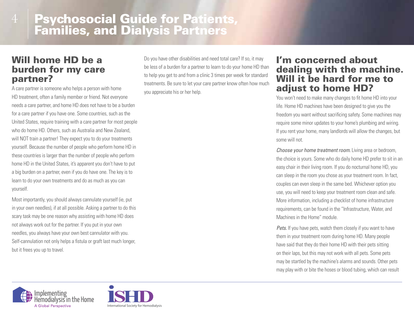## **Psychosocial Guide for Patients, Families, and Dialysis Partners**

#### Will home HD be a burden for my care partner?

A care partner is someone who helps a person with home HD treatment, often a family member or friend. Not everyone needs a care partner, and home HD does not have to be a burden for a care partner if you have one. Some countries, such as the United States, require training with a care partner for most people who do home HD. Others, such as Australia and New Zealand, will NOT train a partner! They expect you to do your treatments yourself. Because the number of people who perform home HD in these countries is larger than the number of people who perform home HD in the United States, it's apparent you don't have to put a big burden on a partner, even if you do have one. The key is to learn to do your own treatments and do as much as you can yourself.

Most importantly, you should always cannulate yourself (ie, put in your own needles), if at all possible. Asking a partner to do this scary task may be one reason why assisting with home HD does not always work out for the partner. If you put in your own needles, you always have your own best cannulator with you. Self-cannulation not only helps a fistula or graft last much longer, but it frees you up to travel.

Do you have other disabilities and need total care? If so, it may be less of a burden for a partner to learn to do your home HD than to help you get to and from a clinic 3 times per week for standard treatments. Be sure to let your care partner know often how much you appreciate his or her help.

#### I'm concerned about dealing with the machine. Will it be hard for me to adjust to home HD?

You won't need to make many changes to fit home HD into your life. Home HD machines have been designed to give you the freedom you want without sacrificing safety. Some machines may require some minor updates to your home's plumbing and wiring. If you rent your home, many landlords will allow the changes, but some will not.

*Choose your home treatment room.* Living area or bedroom, the choice is yours. Some who do daily home HD prefer to sit in an easy chair in their living room. If you do nocturnal home HD, you can sleep in the room you chose as your treatment room. In fact, couples can even sleep in the same bed. Whichever option you use, you will need to keep your treatment room clean and safe. More information, including a checklist of home infrastructure requirements, can be found in the "Infrastructure, Water, and Machines in the Home" module.

*Pets.* If you have pets, watch them closely if you want to have them in your treatment room during home HD. Many people have said that they do their home HD with their pets sitting on their laps, but this may not work with all pets. Some pets may be startled by the machine's alarms and sounds. Other pets may play with or bite the hoses or blood tubing, which can result



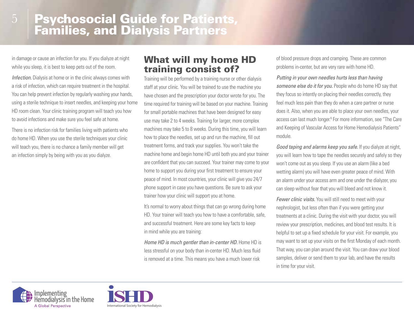in damage or cause an infection for you. If you dialyze at night while you sleep, it is best to keep pets out of the room.

5

*Infection.* Dialysis at home or in the clinic always comes with a risk of infection, which can require treatment in the hospital. You can help prevent infection by regularly washing your hands, using a sterile technique to insert needles, and keeping your home HD room clean. Your clinic training program will teach you how to avoid infections and make sure you feel safe at home.

There is no infection risk for families living with patients who do home HD. When you use the sterile techniques your clinic will teach you, there is no chance a family member will get an infection simply by being with you as you dialyze.

#### What will my home HD training consist of?

Training will be performed by a training nurse or other dialysis staff at your clinic. You will be trained to use the machine you have chosen and the prescription your doctor wrote for you. The time required for training will be based on your machine. Training for small portable machines that have been designed for easy use may take 2 to 4 weeks. Training for larger, more complex machines may take 5 to 8 weeks. During this time, you will learn how to place the needles, set up and run the machine, fill out treatment forms, and track your supplies. You won't take the machine home and begin home HD until both you and your trainer are confident that you can succeed. Your trainer may come to your home to support you during your first treatment to ensure your peace of mind. In most countries, your clinic will give you 24/7 phone support in case you have questions. Be sure to ask your trainer how your clinic will support you at home.

It's normal to worry about things that can go wrong during home HD. Your trainer will teach you how to have a comfortable, safe, and successful treatment. Here are some key facts to keep in mind while you are training:

*Home HD is much gentler than in-center HD.* Home HD is less stressful on your body than in-center HD. Much less fluid is removed at a time. This means you have a much lower risk

of blood pressure drops and cramping. These are common problems in-center, but are very rare with home HD.

*Putting in your own needles hurts less than having someone else do it for you.* People who do home HD say that they focus so intently on placing their needles correctly, they feel much less pain than they do when a care partner or nurse does it. Also, when you are able to place your own needles, your access can last much longer.<sup>6</sup> For more information, see "The Care and Keeping of Vascular Access for Home Hemodialysis Patients" module.

*Good taping and alarms keep you safe.* If you dialyze at night, you will learn how to tape the needles securely and safely so they won't come out as you sleep. If you use an alarm (like a bed wetting alarm) you will have even greater peace of mind. With an alarm under your access arm and one under the dialyzer, you can sleep without fear that you will bleed and not know it.

*Fewer clinic visits.* You will still need to meet with your nephrologist, but less often than if you were getting your treatments at a clinic. During the visit with your doctor, you will review your prescription, medicines, and blood test results. It is helpful to set up a fixed schedule for your visit. For example, you may want to set up your visits on the first Monday of each month. That way, you can plan around the visit. You can draw your blood samples, deliver or send them to your lab, and have the results in time for your visit.



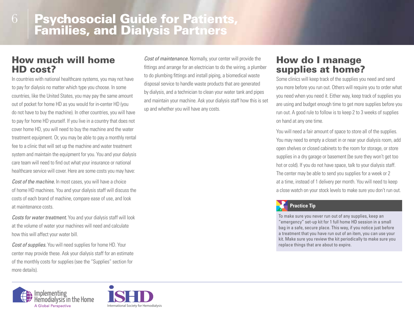#### How much will home HD cost?

In countries with national healthcare systems, you may not have to pay for dialysis no matter which type you choose. In some countries, like the United States, you may pay the same amount out of pocket for home HD as you would for in-center HD (you do not have to buy the machine). In other countries, you will have to pay for home HD yourself. If you live in a country that does not cover home HD, you will need to buy the machine and the water treatment equipment. Or, you may be able to pay a monthly rental fee to a clinic that will set up the machine and water treatment system and maintain the equipment for you. You and your dialysis care team will need to find out what your insurance or national healthcare service will cover. Here are some costs you may have:

*Cost of the machine.* In most cases, you will have a choice of home HD machines. You and your dialysis staff will discuss the costs of each brand of machine, compare ease of use, and look at maintenance costs.

*Costs for water treatment.* You and your dialysis staff will look at the volume of water your machines will need and calculate how this will affect your water bill.

*Cost of supplies.* You will need supplies for home HD. Your center may provide these. Ask your dialysis staff for an estimate of the monthly costs for supplies (see the "Supplies" section for more details).





*Cost of maintenance.* Normally, your center will provide the fittings and arrange for an electrician to do the wiring, a plumber to do plumbing fittings and install piping, a biomedical waste disposal service to handle waste products that are generated by dialysis, and a technician to clean your water tank and pipes and maintain your machine. Ask your dialysis staff how this is set up and whether you will have any costs.

#### How do I manage supplies at home?

Some clinics will keep track of the supplies you need and send you more before you run out. Others will require you to order what you need when you need it. Either way, keep track of supplies you are using and budget enough time to get more supplies before you run out. A good rule to follow is to keep 2 to 3 weeks of supplies on hand at any one time.

You will need a fair amount of space to store all of the supplies. You may need to empty a closet in or near your dialysis room, add open shelves or closed cabinets to the room for storage, or store supplies in a dry garage or basement (be sure they won't get too hot or cold). If you do not have space, talk to your dialysis staff. The center may be able to send you supplies for a week or 2 at a time, instead of 1 delivery per month. You will need to keep a close watch on your stock levels to make sure you don't run out.

#### **Practice Tip**

To make sure you never run out of any supplies, keep an "emergency" set-up kit for 1 full home HD session in a small bag in a safe, secure place. This way, if you notice just before a treatment that you have run out of an item, you can use your kit. Make sure you review the kit periodically to make sure you replace things that are about to expire.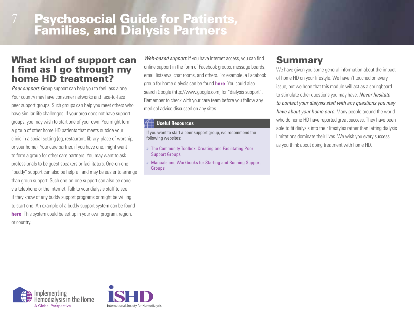## **Psychosocial Guide for Patients, Families, and Dialysis Partners**

#### What kind of support can I find as I go through my home HD treatment?

*Peer support.* Group support can help you to feel less alone. Your country may have consumer networks and face-to-face peer support groups. Such groups can help you meet others who have similar life challenges. If your area does not have support groups, you may wish to start one of your own. You might form a group of other home HD patients that meets outside your clinic in a social setting (eg, restaurant, library, place of worship, or your home). Your care partner, if you have one, might want to form a group for other care partners. You may want to ask professionals to be guest speakers or facilitators. One-on-one "buddy" support can also be helpful, and may be easier to arrange than group support. Such one-on-one support can also be done via telephone or the Internet. Talk to your dialysis staff to see if they know of any buddy support programs or might be willing to start one. An example of a buddy support system can be found **here**. This system could be set up in your own program, region, or country.

*Web-based support.* If you have Internet access, you can find online support in the form of Facebook groups, message boards, email listservs, chat rooms, and others. For example, a Facebook group for home dialysis can be found **here**. You could also search Google (http://www.google.com) for "dialysis support". Remember to check with your care team before you follow any medical advice discussed on any sites.

#### **Useful Resources**

If you want to start a peer support group, we recommend the following websites:

- » The Community Toolbox. Creating and Facilitating Peer Support Groups
- » Manuals and Workbooks for Starting and Running Support Groups

## Summary

We have given you some general information about the impact of home HD on your lifestyle. We haven't touched on every issue, but we hope that this module will act as a springboard to stimulate other questions you may have. *Never hesitate to contact your dialysis staff with any questions you may have about your home care.* Many people around the world who do home HD have reported great success. They have been able to fit dialysis into their lifestyles rather than letting dialysis limitations dominate their lives. We wish you every success as you think about doing treatment with home HD.